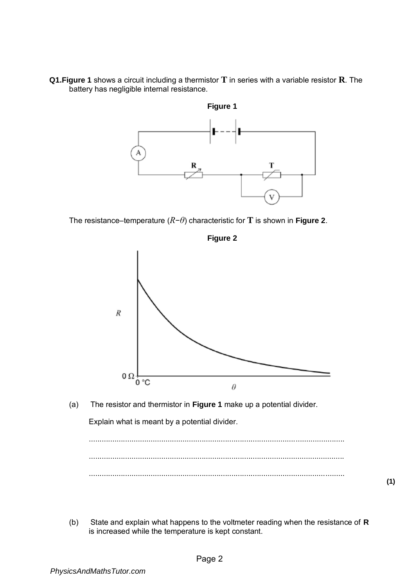**Q1.Figure 1** shows a circuit including a thermistor **T** in series with a variable resistor **R**. The battery has negligible internal resistance.



The resistance–temperature (*R*−*θ*) characteristic for **T** is shown in **Figure 2**.



**Figure 2** 

- **(1)**
- (b) State and explain what happens to the voltmeter reading when the resistance of **R** is increased while the temperature is kept constant.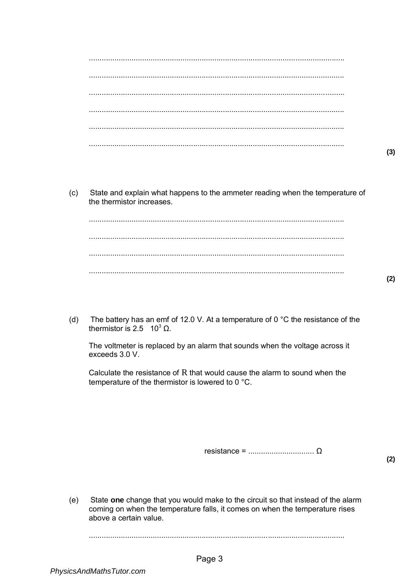- $(3)$
- $(c)$ State and explain what happens to the ammeter reading when the temperature of the thermistor increases.

The battery has an emf of 12.0 V. At a temperature of 0  $^{\circ}$ C the resistance of the  $(d)$ thermistor is 2.5  $10^3 \Omega$ .

The voltmeter is replaced by an alarm that sounds when the voltage across it exceeds 3.0 V.

Calculate the resistance of  $R$  that would cause the alarm to sound when the temperature of the thermistor is lowered to 0 °C.

 $(2)$ 

State one change that you would make to the circuit so that instead of the alarm  $(e)$ coming on when the temperature falls, it comes on when the temperature rises above a certain value.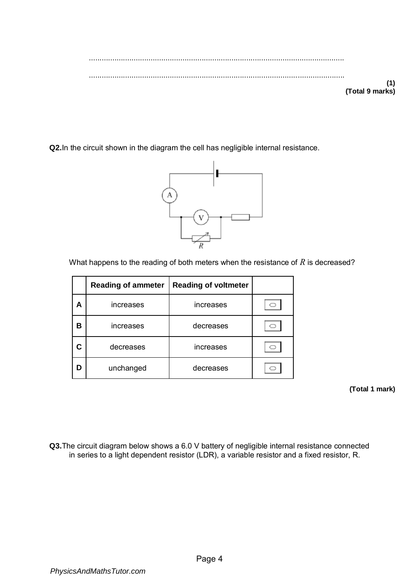........................................................................................................................ ........................................................................................................................ **(1) (Total 9 marks)** 

**Q2.**In the circuit shown in the diagram the cell has negligible internal resistance.



What happens to the reading of both meters when the resistance of *R* is decreased?

|   | <b>Reading of ammeter</b> | <b>Reading of voltmeter</b> |  |
|---|---------------------------|-----------------------------|--|
| А | increases                 | increases                   |  |
| В | increases                 | decreases                   |  |
|   | decreases                 | increases                   |  |
| n | unchanged                 | decreases                   |  |

**(Total 1 mark)** 

**Q3.**The circuit diagram below shows a 6.0 V battery of negligible internal resistance connected in series to a light dependent resistor (LDR), a variable resistor and a fixed resistor, R.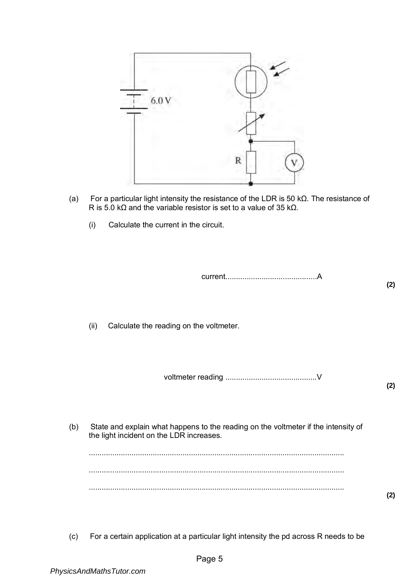

- (a) For a particular light intensity the resistance of the LDR is 50 kΩ. The resistance of R is 5.0 kΩ and the variable resistor is set to a value of 35 kΩ.
	- (i) Calculate the current in the circuit.

current...........................................A

(ii) Calculate the reading on the voltmeter.

voltmeter reading ...........................................V

**(2)** 

**(2)** 

(b) State and explain what happens to the reading on the voltmeter if the intensity of the light incident on the LDR increases.

........................................................................................................................ ........................................................................................................................ ........................................................................................................................

- **(2)**
- (c) For a certain application at a particular light intensity the pd across R needs to be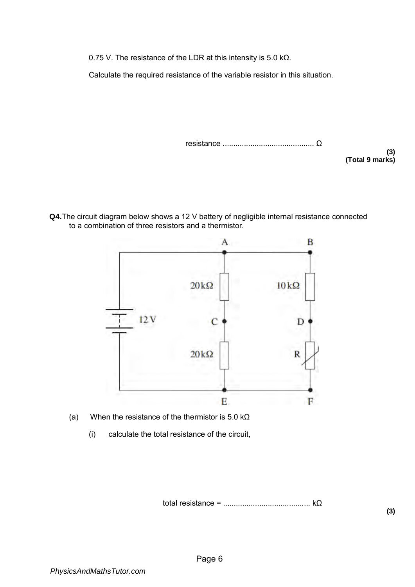0.75 V. The resistance of the LDR at this intensity is 5.0 kΩ.

Calculate the required resistance of the variable resistor in this situation.

resistance ........................................... Ω

**(3) (Total 9 marks)** 

**Q4.**The circuit diagram below shows a 12 V battery of negligible internal resistance connected to a combination of three resistors and a thermistor.



- (a) When the resistance of the thermistor is 5.0 k $\Omega$ 
	- (i) calculate the total resistance of the circuit,

total resistance = ......................................... kΩ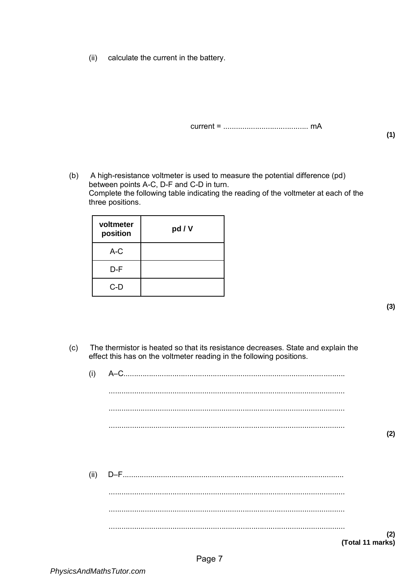(ii) calculate the current in the battery.

current = ........................................ mA

(b) A high-resistance voltmeter is used to measure the potential difference (pd) between points A-C, D-F and C-D in turn. Complete the following table indicating the reading of the voltmeter at each of the three positions.

| voltmeter<br>position | pd / V |
|-----------------------|--------|
| $A-C$                 |        |
| D-F                   |        |
| $C-D$                 |        |

**(1)** 

- (c) The thermistor is heated so that its resistance decreases. State and explain the effect this has on the voltmeter reading in the following positions.
	- (i) A–C........................................................................................................ ............................................................................................................... ............................................................................................................... ............................................................................................................... **(2)**  (ii) D–F........................................................................................................ ............................................................................................................... ............................................................................................................... ............................................................................................................... **(2) (Total 11 marks)**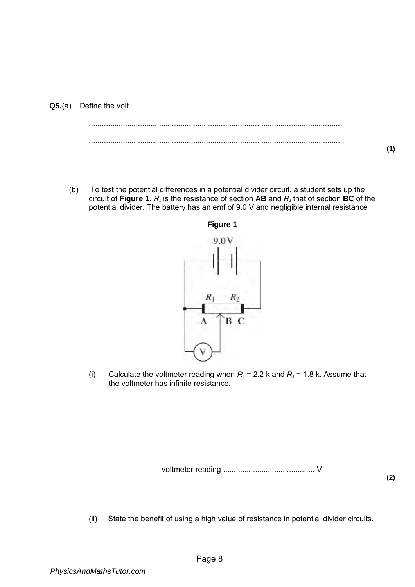(b) To test the potential differences in a potential divider circuit, a student sets up the circuit of **Figure 1**.  $R_i$  is the resistance of section **AB** and  $R_i$  that of section **BC** of the potential divider. The battery has an emf of 9.0 V and negligible internal resistance



- 
- (i) Calculate the voltmeter reading when  $R_1 = 2.2$  k and  $R_2 = 1.8$  k. Assume that the voltmeter has infinite resistance.

voltmeter reading ........................................... V

**(2)** 

**(1)** 

(ii) State the benefit of using a high value of resistance in potential divider circuits.

...............................................................................................................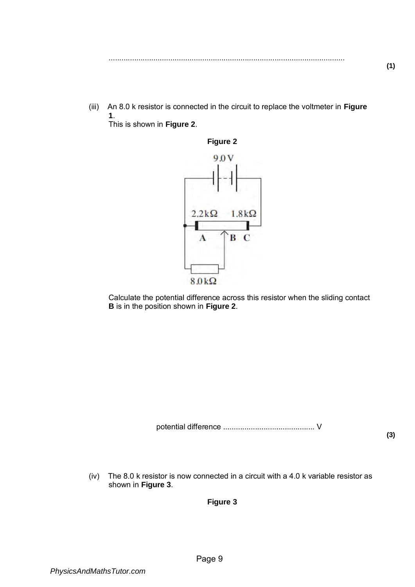- ...............................................................................................................
- (iii) An 8.0 k resistor is connected in the circuit to replace the voltmeter in **Figure 1**. This is shown in **Figure 2**.



Calculate the potential difference across this resistor when the sliding contact **B** is in the position shown in **Figure 2**.

potential difference ........................................... V

**(3)** 

(iv) The 8.0 k resistor is now connected in a circuit with a 4.0 k variable resistor as shown in **Figure 3**.

**Figure 3**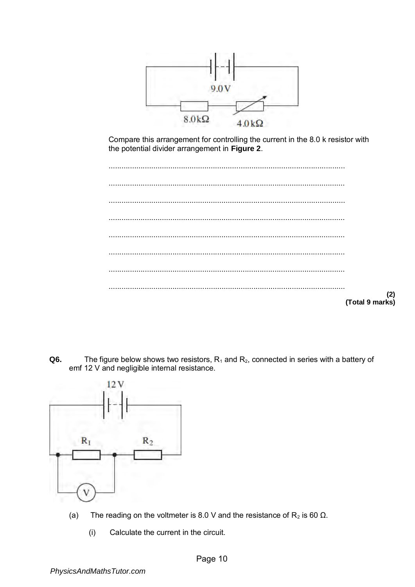

Compare this arrangement for controlling the current in the 8.0 k resistor with the potential divider arrangement in **Figure 2**.

| (2)<br>(Total 9 marks) |
|------------------------|

Q6. The figure below shows two resistors,  $R_1$  and  $R_2$ , connected in series with a battery of emf 12 V and negligible internal resistance.



- The reading on the voltmeter is 8.0 V and the resistance of  $R_2$  is 60  $\Omega$ .  $(a)$ 
	- $(i)$ Calculate the current in the circuit.